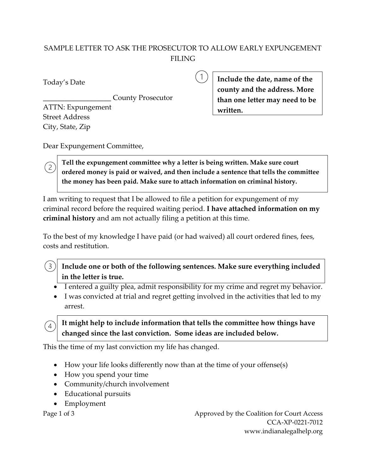## SAMPLE LETTER TO ASK THE PROSECUTOR TO ALLOW EARLY EXPUNGEMENT FILING

Today's Date

\_\_\_\_\_\_\_\_\_\_\_\_\_\_\_\_\_\_\_ County Prosecutor ATTN: Expungement Street Address City, State, Zip

**Include the date, name of the county and the address. More than one letter may need to be written.**

Dear Expungement Committee,

**Tell the expungement committee why a letter is being written. Make sure court ordered money is paid or waived, and then include a sentence that tells the committee the money has been paid. Make sure to attach information on criminal history.** 

I am writing to request that I be allowed to file a petition for expungement of my criminal record before the required waiting period. **I have attached information on my criminal history** and am not actually filing a petition at this time.

To the best of my knowledge I have paid (or had waived) all court ordered fines, fees, costs and restitution.

 $\left(3\right)$ **Include one or both of the following sentences. Make sure everything included in the letter is true.** 

- I entered a guilty plea, admit responsibility for my crime and regret my behavior.
- I was convicted at trial and regret getting involved in the activities that led to my arrest.

**It might help to include information that tells the committee how things have changed since the last conviction. Some ideas are included below.**

This the time of my last conviction my life has changed.

- How your life looks differently now than at the time of your offense(s)
- How you spend your time
- Community/church involvement
- Educational pursuits
- Employment

 $\overline{4}$ 

Page 1 of 3 Approved by the Coalition for Court Access CCA-XP-0221-7012 www.indianalegalhelp.org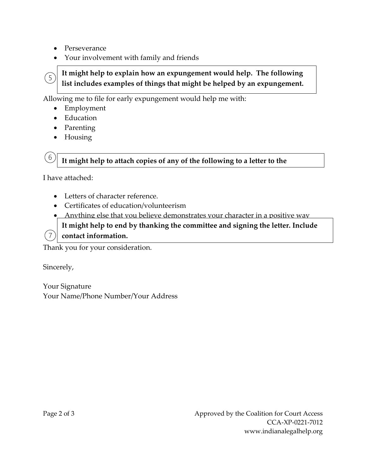- Perseverance
- Your involvement with family and friends

# **It might help to explain how an expungement would help. The following list includes examples of things that might be helped by an expungement.**

Allowing me to file for early expungement would help me with:

- Employment
- Education

 $(5)$ 

6

- Parenting
- Housing

**It might help to attach copies of any of the following to a letter to the** 

I have attached:

- Letters of character reference.
- Certificates of education/volunteerism

• Anything else that you believe demonstrates your character in a positive way

**It might help to end by thanking the committee and signing the letter. Include**

 $(7)$ **contact information.**

Thank you for your consideration.

Sincerely,

Your Signature Your Name/Phone Number/Your Address